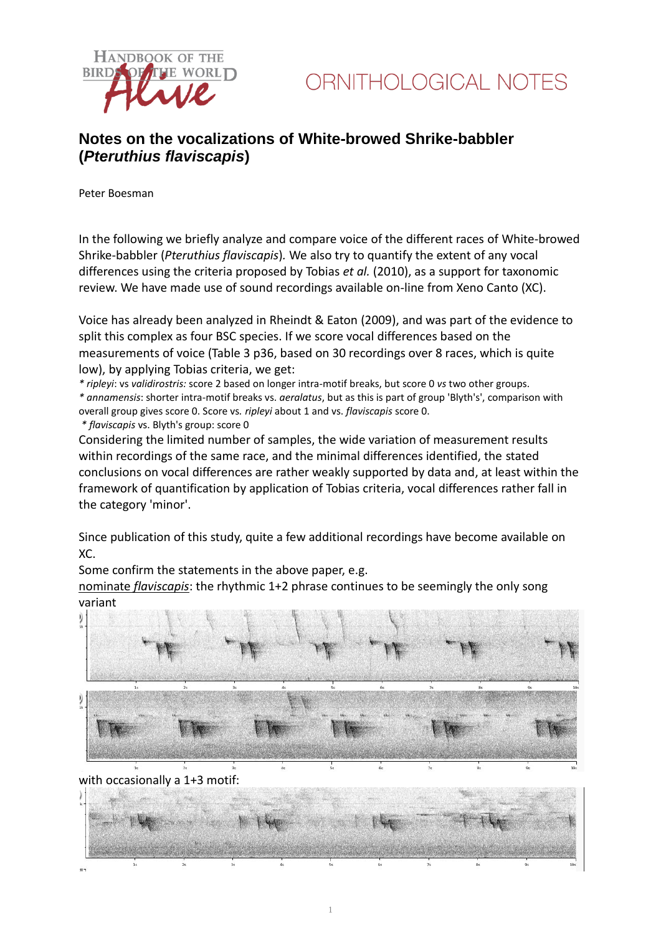

### **Notes on the vocalizations of White-browed Shrike-babbler (***Pteruthius flaviscapis***)**

Peter Boesman

In the following we briefly analyze and compare voice of the different races of White-browed Shrike-babbler (*Pteruthius flaviscapis*)*.* We also try to quantify the extent of any vocal differences using the criteria proposed by Tobias *et al.* (2010), as a support for taxonomic review. We have made use of sound recordings available on-line from Xeno Canto (XC).

Voice has already been analyzed in Rheindt & Eaton (2009), and was part of the evidence to split this complex as four BSC species. If we score vocal differences based on the measurements of voice (Table 3 p36, based on 30 recordings over 8 races, which is quite low), by applying Tobias criteria, we get:

*\* ripleyi*: vs *validirostris:* score 2 based on longer intra-motif breaks, but score 0 *vs* two other groups. *\* annamensis*: shorter intra-motif breaks vs. *aeralatus*, but as this is part of group 'Blyth's', comparison with overall group gives score 0. Score vs*. ripleyi* about 1 and vs. *flaviscapis* score 0.

*\* flaviscapis* vs. Blyth's group: score 0

Considering the limited number of samples, the wide variation of measurement results within recordings of the same race, and the minimal differences identified, the stated conclusions on vocal differences are rather weakly supported by data and, at least within the framework of quantification by application of Tobias criteria, vocal differences rather fall in the category 'minor'.

Since publication of this study, quite a few additional recordings have become available on XC.

Some confirm the statements in the above paper, e.g.

nominate *flaviscapis*: the rhythmic 1+2 phrase continues to be seemingly the only song variant



with occasionally a 1+3 motif:

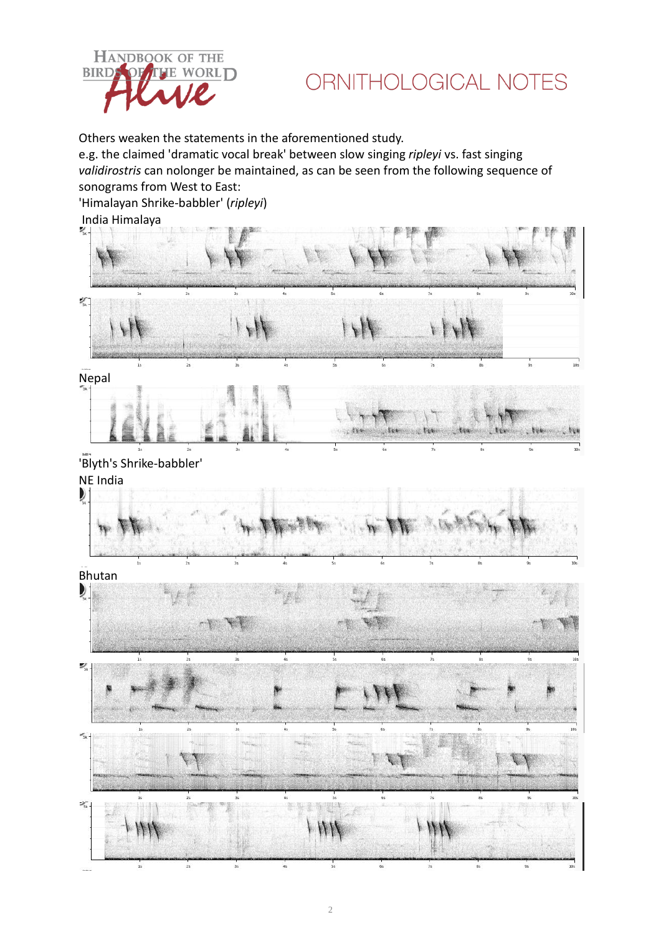

## ORNITHOLOGICAL NOTES

Others weaken the statements in the aforementioned study.

e.g. the claimed 'dramatic vocal break' between slow singing *ripleyi* vs. fast singing *validirostris* can nolonger be maintained, as can be seen from the following sequence of sonograms from West to East:

'Himalayan Shrike-babbler' (*ripleyi*)